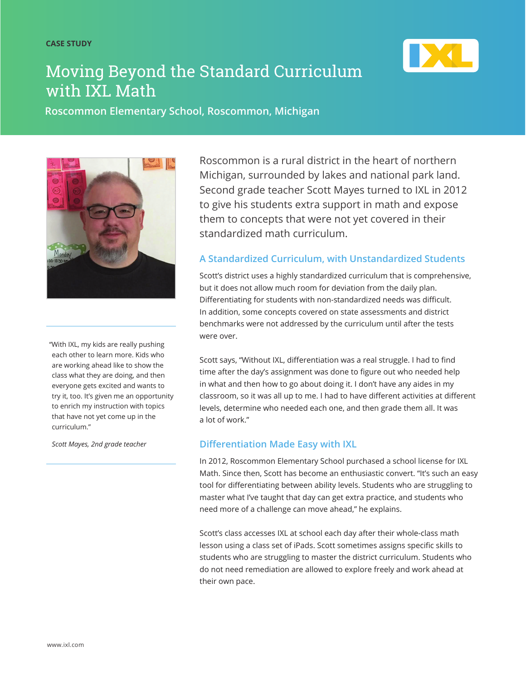

# Moving Beyond the Standard Curriculum with IXL Math

**Roscommon Elementary School, Roscommon, Michigan**



"With IXL, my kids are really pushing each other to learn more. Kids who are working ahead like to show the class what they are doing, and then everyone gets excited and wants to try it, too. It's given me an opportunity to enrich my instruction with topics that have not yet come up in the curriculum."

*Scott Mayes, 2nd grade teacher*

Roscommon is a rural district in the heart of northern Michigan, surrounded by lakes and national park land. Second grade teacher Scott Mayes turned to IXL in 2012 to give his students extra support in math and expose them to concepts that were not yet covered in their standardized math curriculum.

### **A Standardized Curriculum, with Unstandardized Students**

Scott's district uses a highly standardized curriculum that is comprehensive, but it does not allow much room for deviation from the daily plan. Differentiating for students with non-standardized needs was difficult. In addition, some concepts covered on state assessments and district benchmarks were not addressed by the curriculum until after the tests were over.

Scott says, "Without IXL, differentiation was a real struggle. I had to find time after the day's assignment was done to figure out who needed help in what and then how to go about doing it. I don't have any aides in my classroom, so it was all up to me. I had to have different activities at different levels, determine who needed each one, and then grade them all. It was a lot of work."

#### **Differentiation Made Easy with IXL**

In 2012, Roscommon Elementary School purchased a school license for IXL Math. Since then, Scott has become an enthusiastic convert. "It's such an easy tool for differentiating between ability levels. Students who are struggling to master what I've taught that day can get extra practice, and students who need more of a challenge can move ahead," he explains.

Scott's class accesses IXL at school each day after their whole-class math lesson using a class set of iPads. Scott sometimes assigns specific skills to students who are struggling to master the district curriculum. Students who do not need remediation are allowed to explore freely and work ahead at their own pace.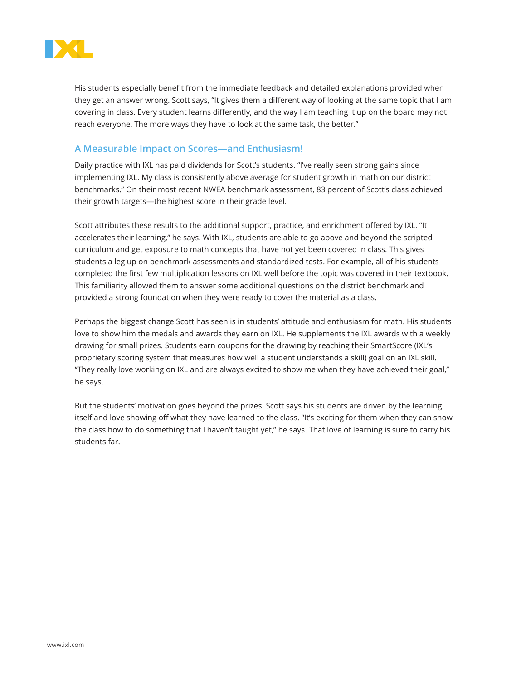

His students especially benefit from the immediate feedback and detailed explanations provided when they get an answer wrong. Scott says, "It gives them a different way of looking at the same topic that I am covering in class. Every student learns differently, and the way I am teaching it up on the board may not reach everyone. The more ways they have to look at the same task, the better."

#### **A Measurable Impact on Scores—and Enthusiasm!**

Daily practice with IXL has paid dividends for Scott's students. "I've really seen strong gains since implementing IXL. My class is consistently above average for student growth in math on our district benchmarks." On their most recent NWEA benchmark assessment, 83 percent of Scott's class achieved their growth targets—the highest score in their grade level.

Scott attributes these results to the additional support, practice, and enrichment offered by IXL. "It accelerates their learning," he says. With IXL, students are able to go above and beyond the scripted curriculum and get exposure to math concepts that have not yet been covered in class. This gives students a leg up on benchmark assessments and standardized tests. For example, all of his students completed the first few multiplication lessons on IXL well before the topic was covered in their textbook. This familiarity allowed them to answer some additional questions on the district benchmark and provided a strong foundation when they were ready to cover the material as a class.

Perhaps the biggest change Scott has seen is in students' attitude and enthusiasm for math. His students love to show him the medals and awards they earn on IXL. He supplements the IXL awards with a weekly drawing for small prizes. Students earn coupons for the drawing by reaching their SmartScore (IXL's proprietary scoring system that measures how well a student understands a skill) goal on an IXL skill. "They really love working on IXL and are always excited to show me when they have achieved their goal," he says.

But the students' motivation goes beyond the prizes. Scott says his students are driven by the learning itself and love showing off what they have learned to the class. "It's exciting for them when they can show the class how to do something that I haven't taught yet," he says. That love of learning is sure to carry his students far.